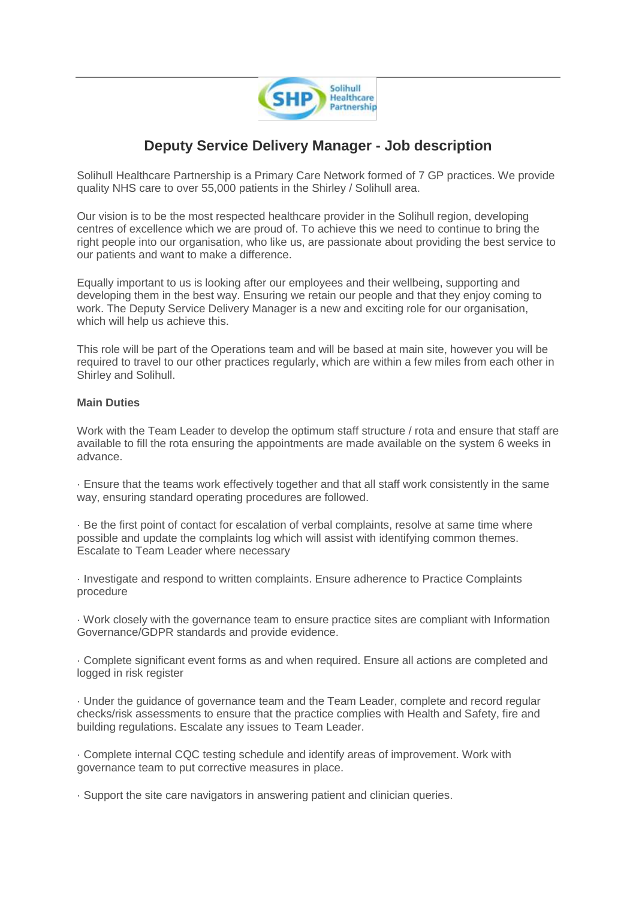

## **Deputy Service Delivery Manager - Job description**

Solihull Healthcare Partnership is a Primary Care Network formed of 7 GP practices. We provide quality NHS care to over 55,000 patients in the Shirley / Solihull area.

Our vision is to be the most respected healthcare provider in the Solihull region, developing centres of excellence which we are proud of. To achieve this we need to continue to bring the right people into our organisation, who like us, are passionate about providing the best service to our patients and want to make a difference.

Equally important to us is looking after our employees and their wellbeing, supporting and developing them in the best way. Ensuring we retain our people and that they enjoy coming to work. The Deputy Service Delivery Manager is a new and exciting role for our organisation, which will help us achieve this.

This role will be part of the Operations team and will be based at main site, however you will be required to travel to our other practices regularly, which are within a few miles from each other in Shirley and Solihull.

## **Main Duties**

Work with the Team Leader to develop the optimum staff structure / rota and ensure that staff are available to fill the rota ensuring the appointments are made available on the system 6 weeks in advance.

· Ensure that the teams work effectively together and that all staff work consistently in the same way, ensuring standard operating procedures are followed.

· Be the first point of contact for escalation of verbal complaints, resolve at same time where possible and update the complaints log which will assist with identifying common themes. Escalate to Team Leader where necessary

· Investigate and respond to written complaints. Ensure adherence to Practice Complaints procedure

· Work closely with the governance team to ensure practice sites are compliant with Information Governance/GDPR standards and provide evidence.

· Complete significant event forms as and when required. Ensure all actions are completed and logged in risk register

· Under the guidance of governance team and the Team Leader, complete and record regular checks/risk assessments to ensure that the practice complies with Health and Safety, fire and building regulations. Escalate any issues to Team Leader.

· Complete internal CQC testing schedule and identify areas of improvement. Work with governance team to put corrective measures in place.

· Support the site care navigators in answering patient and clinician queries.